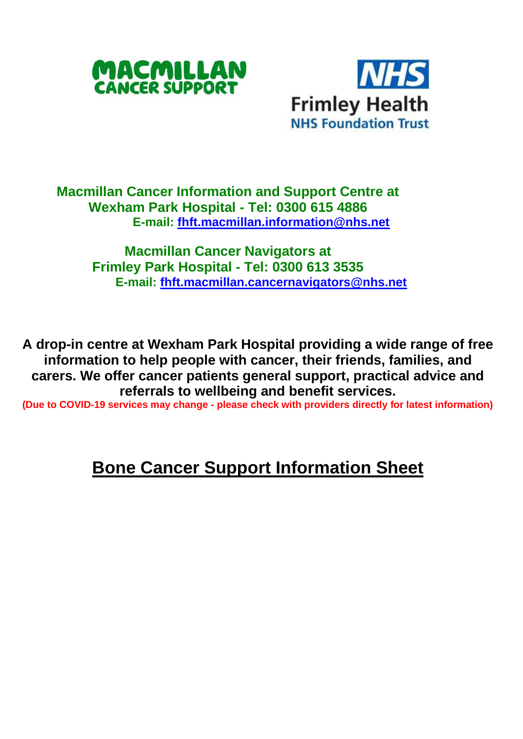



## **Macmillan Cancer Information and Support Centre at Wexham Park Hospital - Tel: 0300 615 4886 E-mail: [fhft.macmillan.information@nhs.net](mailto:fhft.macmillan.information@nhs.net)**

**Macmillan Cancer Navigators at Frimley Park Hospital - Tel: 0300 613 3535 E-mail: [fhft.macmillan.cancernavigators@nhs.net](mailto:fhft.macmillan.cancernavigators@nhs.net)**

**A drop-in centre at Wexham Park Hospital providing a wide range of free information to help people with cancer, their friends, families, and carers. We offer cancer patients general support, practical advice and referrals to wellbeing and benefit services.**

**(Due to COVID-19 services may change - please check with providers directly for latest information)** 

## **Bone Cancer Support Information Sheet**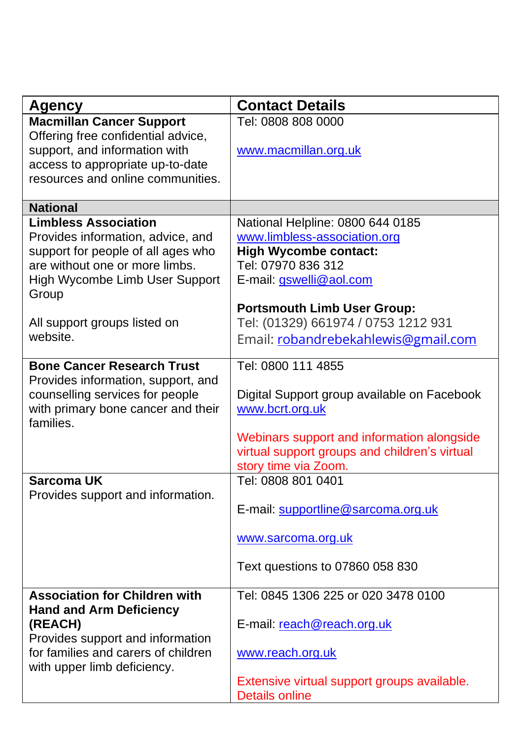| Agency                                                                                                                                                                              | <b>Contact Details</b>                                                                                                                            |
|-------------------------------------------------------------------------------------------------------------------------------------------------------------------------------------|---------------------------------------------------------------------------------------------------------------------------------------------------|
| <b>Macmillan Cancer Support</b><br>Offering free confidential advice,<br>support, and information with<br>access to appropriate up-to-date<br>resources and online communities.     | Tel: 0808 808 0000<br>www.macmillan.org.uk                                                                                                        |
| <b>National</b>                                                                                                                                                                     |                                                                                                                                                   |
| <b>Limbless Association</b><br>Provides information, advice, and<br>support for people of all ages who<br>are without one or more limbs.<br>High Wycombe Limb User Support<br>Group | National Helpline: 0800 644 0185<br>www.limbless-association.org<br><b>High Wycombe contact:</b><br>Tel: 07970 836 312<br>E-mail: gswelli@aol.com |
|                                                                                                                                                                                     | <b>Portsmouth Limb User Group:</b>                                                                                                                |
| All support groups listed on                                                                                                                                                        | Tel: (01329) 661974 / 0753 1212 931                                                                                                               |
| website.                                                                                                                                                                            | Email: robandrebekahlewis@gmail.com                                                                                                               |
| <b>Bone Cancer Research Trust</b><br>Provides information, support, and<br>counselling services for people<br>with primary bone cancer and their<br>families.                       | Tel: 0800 111 4855<br>Digital Support group available on Facebook<br>www.bcrt.org.uk<br>Webinars support and information alongside                |
|                                                                                                                                                                                     | virtual support groups and children's virtual<br>story time via Zoom.                                                                             |
| Sarcoma UK                                                                                                                                                                          | Tel: 0808 801 0401                                                                                                                                |
| Provides support and information.                                                                                                                                                   | E-mail: supportline@sarcoma.org.uk                                                                                                                |
|                                                                                                                                                                                     | www.sarcoma.org.uk                                                                                                                                |
|                                                                                                                                                                                     | Text questions to 07860 058 830                                                                                                                   |
| <b>Association for Children with</b>                                                                                                                                                | Tel: 0845 1306 225 or 020 3478 0100                                                                                                               |
| <b>Hand and Arm Deficiency</b><br>(REACH)<br>Provides support and information                                                                                                       | E-mail: reach@reach.org.uk                                                                                                                        |
| for families and carers of children<br>with upper limb deficiency.                                                                                                                  | www.reach.org.uk                                                                                                                                  |
|                                                                                                                                                                                     | Extensive virtual support groups available.<br>Details online                                                                                     |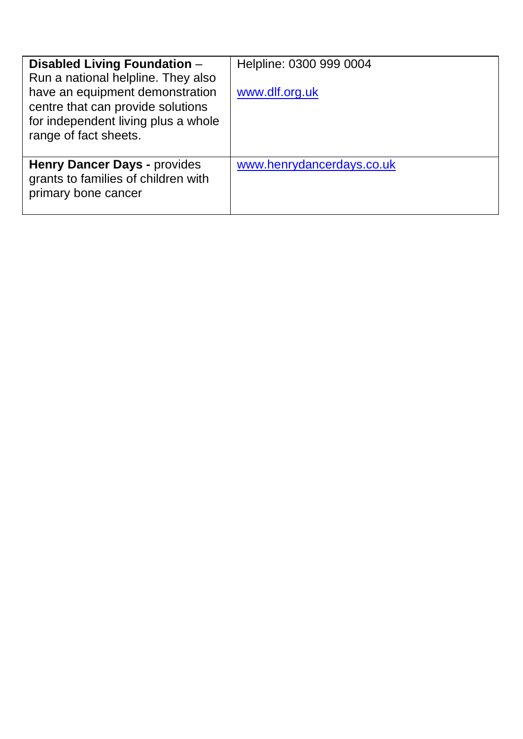| Disabled Living Foundation -<br>Run a national helpline. They also<br>have an equipment demonstration<br>centre that can provide solutions<br>for independent living plus a whole<br>range of fact sheets. | Helpline: 0300 999 0004<br>www.dlf.org.uk |
|------------------------------------------------------------------------------------------------------------------------------------------------------------------------------------------------------------|-------------------------------------------|
| Henry Dancer Days - provides<br>grants to families of children with<br>primary bone cancer                                                                                                                 | www.henrydancerdays.co.uk                 |